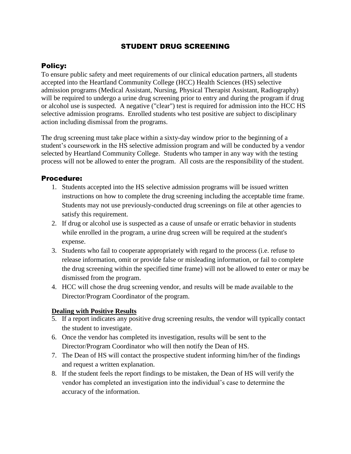## STUDENT DRUG SCREENING

## Policy:

To ensure public safety and meet requirements of our clinical education partners, all students accepted into the Heartland Community College (HCC) Health Sciences (HS) selective admission programs (Medical Assistant, Nursing, Physical Therapist Assistant, Radiography) will be required to undergo a urine drug screening prior to entry and during the program if drug or alcohol use is suspected. A negative ("clear") test is required for admission into the HCC HS selective admission programs. Enrolled students who test positive are subject to disciplinary action including dismissal from the programs.

The drug screening must take place within a sixty-day window prior to the beginning of a student's coursework in the HS selective admission program and will be conducted by a vendor selected by Heartland Community College. Students who tamper in any way with the testing process will not be allowed to enter the program. All costs are the responsibility of the student.

## Procedure:

- 1. Students accepted into the HS selective admission programs will be issued written instructions on how to complete the drug screening including the acceptable time frame. Students may not use previously-conducted drug screenings on file at other agencies to satisfy this requirement.
- 2. If drug or alcohol use is suspected as a cause of unsafe or erratic behavior in students while enrolled in the program, a urine drug screen will be required at the student's expense.
- 3. Students who fail to cooperate appropriately with regard to the process (i.e. refuse to release information, omit or provide false or misleading information, or fail to complete the drug screening within the specified time frame) will not be allowed to enter or may be dismissed from the program.
- 4. HCC will chose the drug screening vendor, and results will be made available to the Director/Program Coordinator of the program.

## **Dealing with Positive Results**

- 5. If a report indicates any positive drug screening results, the vendor will typically contact the student to investigate.
- 6. Once the vendor has completed its investigation, results will be sent to the Director/Program Coordinator who will then notify the Dean of HS.
- 7. The Dean of HS will contact the prospective student informing him/her of the findings and request a written explanation.
- 8. If the student feels the report findings to be mistaken, the Dean of HS will verify the vendor has completed an investigation into the individual's case to determine the accuracy of the information.